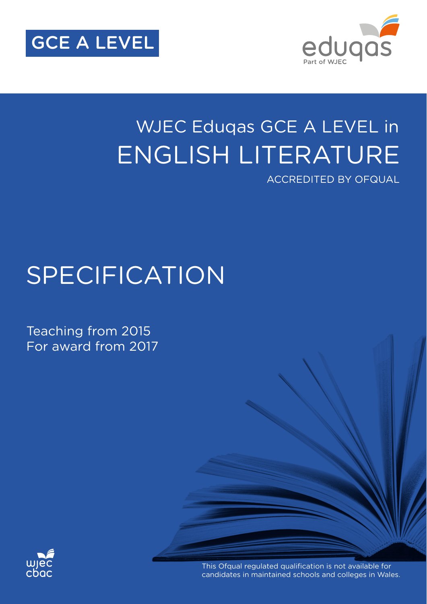



## ENGLISH LITERATURE WJEC Eduqas GCE A LEVEL in ACCREDITED BY OFQUAL

# SPECIFICATION

Teaching from 2015 For award from 2017



This Ofqual regulated qualification is not available for candidates in maintained schools and colleges in Wales.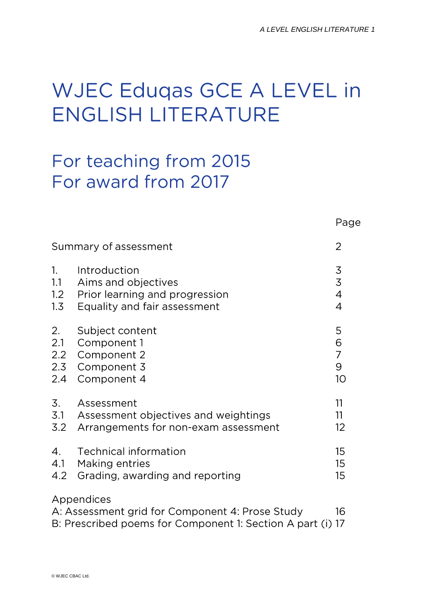# WJEC Eduqas GCE A LEVEL in **ENGLISH LITERATURE**

## For teaching from 2015 For award from 2017

|                                                                                                                                   |                                      | Page           |  |
|-----------------------------------------------------------------------------------------------------------------------------------|--------------------------------------|----------------|--|
| Summary of assessment                                                                                                             |                                      |                |  |
| 1.                                                                                                                                | Introduction                         | $\overline{3}$ |  |
| 1.1                                                                                                                               | Aims and objectives                  | $\overline{3}$ |  |
| 1.2                                                                                                                               | Prior learning and progression       | $\overline{4}$ |  |
| 1.3                                                                                                                               | Equality and fair assessment         | $\overline{4}$ |  |
| 2.                                                                                                                                | Subject content                      | 5              |  |
| 2.1                                                                                                                               | Component 1                          | 6              |  |
| 2.2                                                                                                                               | Component 2                          | $\overline{7}$ |  |
| 2.3                                                                                                                               | Component 3                          | 9              |  |
| 2.4                                                                                                                               | Component 4                          | 10             |  |
| 3.                                                                                                                                | Assessment                           | 11             |  |
| 3.1                                                                                                                               | Assessment objectives and weightings | 11             |  |
| 3.2                                                                                                                               | Arrangements for non-exam assessment | 12             |  |
| $\mathcal{A}_{\cdot}$                                                                                                             | <b>Technical information</b>         | 15             |  |
| 4.1                                                                                                                               | <b>Making entries</b>                | 15             |  |
| 4.2                                                                                                                               | Grading, awarding and reporting      | 15             |  |
| Appendices<br>A: Assessment grid for Component 4: Prose Study<br>16<br>B: Prescribed poems for Component 1: Section A part (i) 17 |                                      |                |  |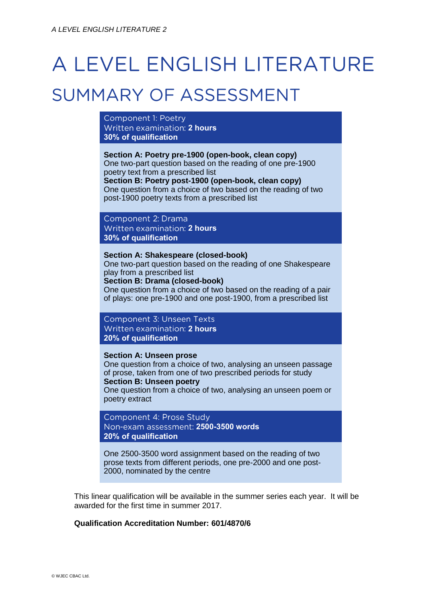# A LEVEL ENGLISH LITERATURE

## SUMMARY OF ASSESSMENT

Component 1: Poetry Written examination: 2 hours **30% of qualification**

**Section A: Poetry pre-1900 (open-book, clean copy)** One two-part question based on the reading of one pre-1900 poetry text from a prescribed list **Section B: Poetry post-1900 (open-book, clean copy)** One question from a choice of two based on the reading of two post-1900 poetry texts from a prescribed list

Component 2: Drama Written examination: 2 hours **30% of qualification**

#### **Section A: Shakespeare (closed-book)**

One two-part question based on the reading of one Shakespeare play from a prescribed list

**Section B: Drama (closed-book)**

One question from a choice of two based on the reading of a pair of plays: one pre-1900 and one post-1900, from a prescribed list

Component 3: Unseen Texts Written examination: 2 hours **20% of qualification**

#### **Section A: Unseen prose**

One question from a choice of two, analysing an unseen passage of prose, taken from one of two prescribed periods for study **Section B: Unseen poetry**

One question from a choice of two, analysing an unseen poem or poetry extract

Component 4: Prose Study **2500-3500 words 20% of qualification**

One 2500-3500 word assignment based on the reading of two prose texts from different periods, one pre-2000 and one post-2000, nominated by the centre

This linear qualification will be available in the summer series each year. It will be awarded for the first time in summer 2017.

#### **Qualification Accreditation Number: 601/4870/6**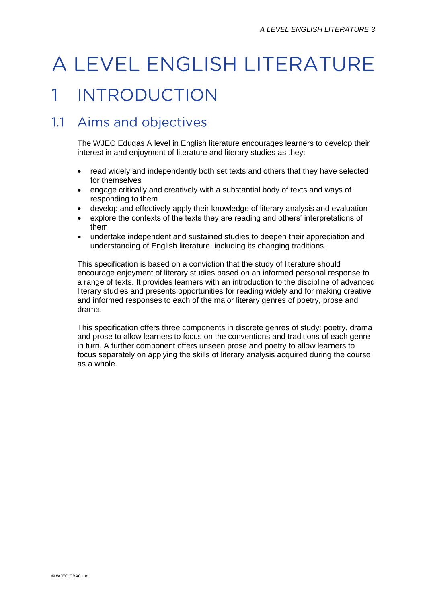# A LEVEL ENGLISH LITERATURE

#### **INTRODUCTION**  $\mathbf{1}$

## 1.1 Aims and objectives

The WJEC Eduqas A level in English literature encourages learners to develop their interest in and enjoyment of literature and literary studies as they:

- read widely and independently both set texts and others that they have selected for themselves
- engage critically and creatively with a substantial body of texts and ways of responding to them
- develop and effectively apply their knowledge of literary analysis and evaluation
- explore the contexts of the texts they are reading and others' interpretations of them
- undertake independent and sustained studies to deepen their appreciation and understanding of English literature, including its changing traditions.

This specification is based on a conviction that the study of literature should encourage enjoyment of literary studies based on an informed personal response to a range of texts. It provides learners with an introduction to the discipline of advanced literary studies and presents opportunities for reading widely and for making creative and informed responses to each of the major literary genres of poetry, prose and drama.

This specification offers three components in discrete genres of study: poetry, drama and prose to allow learners to focus on the conventions and traditions of each genre in turn. A further component offers unseen prose and poetry to allow learners to focus separately on applying the skills of literary analysis acquired during the course as a whole.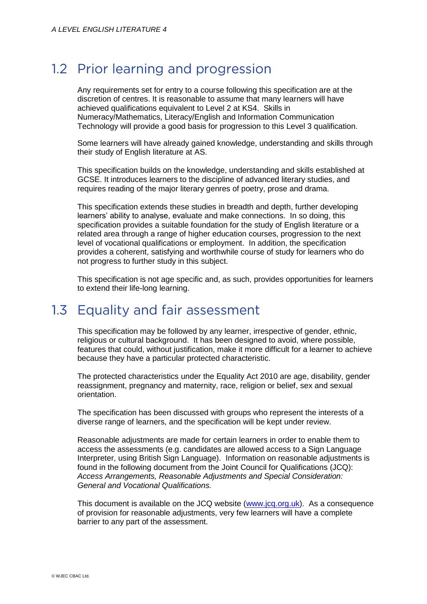### 1.2 Prior learning and progression

Any requirements set for entry to a course following this specification are at the discretion of centres. It is reasonable to assume that many learners will have achieved qualifications equivalent to Level 2 at KS4. Skills in Numeracy/Mathematics, Literacy/English and Information Communication Technology will provide a good basis for progression to this Level 3 qualification.

Some learners will have already gained knowledge, understanding and skills through their study of English literature at AS.

This specification builds on the knowledge, understanding and skills established at GCSE. It introduces learners to the discipline of advanced literary studies, and requires reading of the major literary genres of poetry, prose and drama.

This specification extends these studies in breadth and depth, further developing learners' ability to analyse, evaluate and make connections. In so doing, this specification provides a suitable foundation for the study of English literature or a related area through a range of higher education courses, progression to the next level of vocational qualifications or employment. In addition, the specification provides a coherent, satisfying and worthwhile course of study for learners who do not progress to further study in this subject.

This specification is not age specific and, as such, provides opportunities for learners to extend their life-long learning.

#### Equality and fair assessment  $1.3$

This specification may be followed by any learner, irrespective of gender, ethnic, religious or cultural background. It has been designed to avoid, where possible, features that could, without justification, make it more difficult for a learner to achieve because they have a particular protected characteristic.

The protected characteristics under the Equality Act 2010 are age, disability, gender reassignment, pregnancy and maternity, race, religion or belief, sex and sexual orientation.

The specification has been discussed with groups who represent the interests of a diverse range of learners, and the specification will be kept under review.

Reasonable adjustments are made for certain learners in order to enable them to access the assessments (e.g. candidates are allowed access to a Sign Language Interpreter, using British Sign Language). Information on reasonable adjustments is found in the following document from the Joint Council for Qualifications (JCQ): *Access Arrangements, Reasonable Adjustments and Special Consideration: General and Vocational Qualifications.*

This document is available on the JCQ website [\(www.jcq.org.uk\)](http://www.jcq.org.uk/). As a consequence of provision for reasonable adjustments, very few learners will have a complete barrier to any part of the assessment.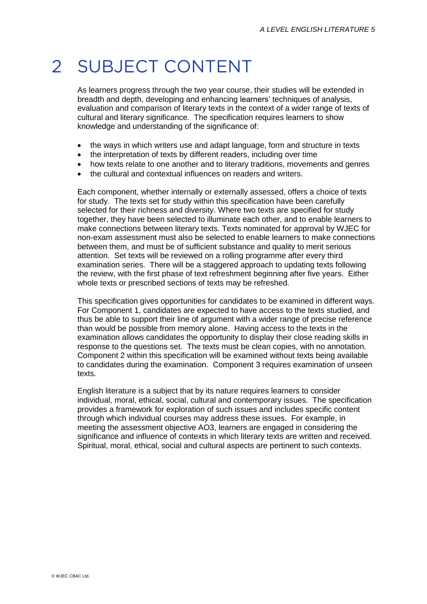#### $\overline{\mathcal{L}}$ **SUBJECT CONTENT**

As learners progress through the two year course, their studies will be extended in breadth and depth, developing and enhancing learners' techniques of analysis, evaluation and comparison of literary texts in the context of a wider range of texts of cultural and literary significance. The specification requires learners to show knowledge and understanding of the significance of:

- the ways in which writers use and adapt language, form and structure in texts
- the interpretation of texts by different readers, including over time
- how texts relate to one another and to literary traditions, movements and genres
- the cultural and contextual influences on readers and writers.

Each component, whether internally or externally assessed, offers a choice of texts for study. The texts set for study within this specification have been carefully selected for their richness and diversity. Where two texts are specified for study together, they have been selected to illuminate each other, and to enable learners to make connections between literary texts. Texts nominated for approval by WJEC for non-exam assessment must also be selected to enable learners to make connections between them, and must be of sufficient substance and quality to merit serious attention. Set texts will be reviewed on a rolling programme after every third examination series. There will be a staggered approach to updating texts following the review, with the first phase of text refreshment beginning after five years. Either whole texts or prescribed sections of texts may be refreshed.

This specification gives opportunities for candidates to be examined in different ways. For Component 1, candidates are expected to have access to the texts studied, and thus be able to support their line of argument with a wider range of precise reference than would be possible from memory alone. Having access to the texts in the examination allows candidates the opportunity to display their close reading skills in response to the questions set. The texts must be clean copies, with no annotation. Component 2 within this specification will be examined without texts being available to candidates during the examination. Component 3 requires examination of unseen texts.

English literature is a subject that by its nature requires learners to consider individual, moral, ethical, social, cultural and contemporary issues. The specification provides a framework for exploration of such issues and includes specific content through which individual courses may address these issues. For example, in meeting the assessment objective AO3, learners are engaged in considering the significance and influence of contexts in which literary texts are written and received. Spiritual, moral, ethical, social and cultural aspects are pertinent to such contexts.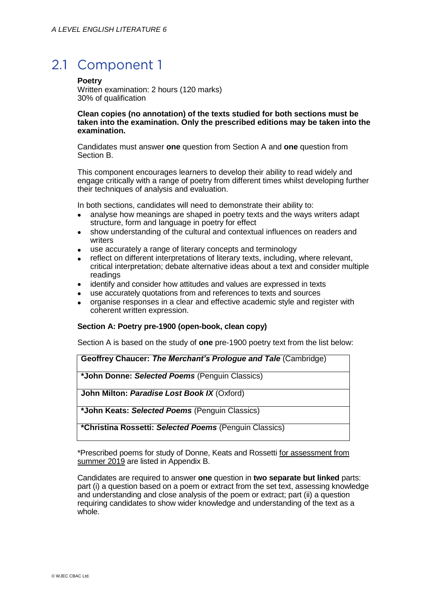## 2.1 Component 1

**Poetry**

Written examination: 2 hours (120 marks) 30% of qualification

#### **Clean copies (no annotation) of the texts studied for both sections must be taken into the examination. Only the prescribed editions may be taken into the examination.**

Candidates must answer **one** question from Section A and **one** question from Section B.

This component encourages learners to develop their ability to read widely and engage critically with a range of poetry from different times whilst developing further their techniques of analysis and evaluation.

In both sections, candidates will need to demonstrate their ability to:

- analyse how meanings are shaped in poetry texts and the ways writers adapt structure, form and language in poetry for effect
- show understanding of the cultural and contextual influences on readers and writers
- use accurately a range of literary concepts and terminology
- reflect on different interpretations of literary texts, including, where relevant, critical interpretation; debate alternative ideas about a text and consider multiple readings
- identify and consider how attitudes and values are expressed in texts
- use accurately quotations from and references to texts and sources
- organise responses in a clear and effective academic style and register with coherent written expression.

#### **Section A: Poetry pre-1900 (open-book, clean copy)**

Section A is based on the study of **one** pre-1900 poetry text from the list below:

**Geoffrey Chaucer:** *The Merchant's Prologue and Tale* (Cambridge)

**\*John Donne:** *Selected Poems* (Penguin Classics)

**John Milton:** *Paradise Lost Book IX* (Oxford)

**\*John Keats:** *Selected Poems* (Penguin Classics)

**\*Christina Rossetti:** *Selected Poems* (Penguin Classics)

\*Prescribed poems for study of Donne, Keats and Rossetti for assessment from summer 2019 are listed in Appendix B.

Candidates are required to answer **one** question in **two separate but linked** parts: part (i) a question based on a poem or extract from the set text, assessing knowledge and understanding and close analysis of the poem or extract; part (ii) a question requiring candidates to show wider knowledge and understanding of the text as a whole.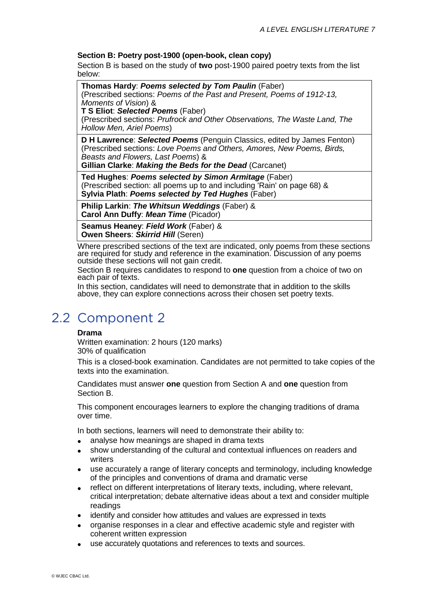#### **Section B: Poetry post-1900 (open-book, clean copy)**

Section B is based on the study of **two** post-1900 paired poetry texts from the list below:

**Thomas Hardy**: *Poems selected by Tom Paulin* (Faber) (Prescribed sections: *Poems of the Past and Present, Poems of 1912-13, Moments of Vision*) & **T S Eliot**: *Selected Poems* (Faber)

(Prescribed sections: *Prufrock and Other Observations, The Waste Land, The Hollow Men, Ariel Poems*)

**D H Lawrence**: *Selected Poems* (Penguin Classics, edited by James Fenton) (Prescribed sections: *Love Poems and Others, Amores, New Poems, Birds, Beasts and Flowers, Last Poems*) &

**Gillian Clarke**: *Making the Beds for the Dead* (Carcanet)

**Ted Hughes**: *Poems selected by Simon Armitage* (Faber) (Prescribed section: all poems up to and including 'Rain' on page 68) & **Sylvia Plath**: *Poems selected by Ted Hughes* (Faber)

**Philip Larkin**: *The Whitsun Weddings* (Faber) & **Carol Ann Duffy**: *Mean Time* (Picador)

**Seamus Heaney**: *Field Work* (Faber) & **Owen Sheers**: *Skirrid Hill* (Seren)

Where prescribed sections of the text are indicated, only poems from these sections are required for study and reference in the examination. Discussion of any poems outside these sections will not gain credit.

Section B requires candidates to respond to **one** question from a choice of two on each pair of texts.

In this section, candidates will need to demonstrate that in addition to the skills above, they can explore connections across their chosen set poetry texts.

## 2.2 Component 2

#### **Drama**

Written examination: 2 hours (120 marks) 30% of qualification

This is a closed-book examination. Candidates are not permitted to take copies of the texts into the examination.

Candidates must answer **one** question from Section A and **one** question from Section B.

This component encourages learners to explore the changing traditions of drama over time.

In both sections, learners will need to demonstrate their ability to:

- analyse how meanings are shaped in drama texts
- show understanding of the cultural and contextual influences on readers and writers
- use accurately a range of literary concepts and terminology, including knowledge of the principles and conventions of drama and dramatic verse
- reflect on different interpretations of literary texts, including, where relevant, critical interpretation; debate alternative ideas about a text and consider multiple readings
- identify and consider how attitudes and values are expressed in texts
- organise responses in a clear and effective academic style and register with coherent written expression
- use accurately quotations and references to texts and sources.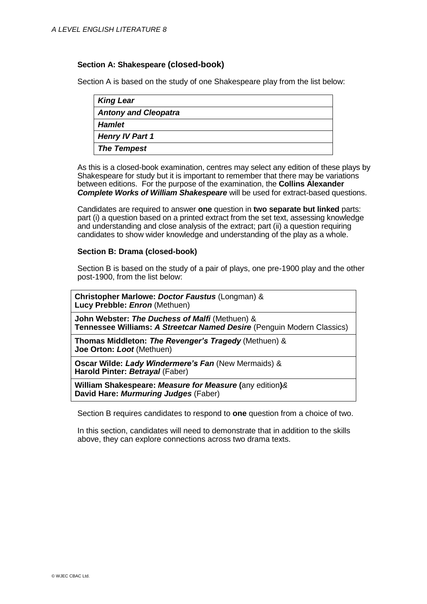#### **Section A: Shakespeare (closed-book)**

Section A is based on the study of one Shakespeare play from the list below:

| <b>King Lear</b>            |  |  |
|-----------------------------|--|--|
| <b>Antony and Cleopatra</b> |  |  |
| <b>Hamlet</b>               |  |  |
| <b>Henry IV Part 1</b>      |  |  |
| <b>The Tempest</b>          |  |  |

As this is a closed-book examination, centres may select any edition of these plays by Shakespeare for study but it is important to remember that there may be variations between editions. For the purpose of the examination, the **Collins Alexander**  *Complete Works of William Shakespeare* will be used for extract-based questions.

Candidates are required to answer **one** question in **two separate but linked** parts: part (i) a question based on a printed extract from the set text, assessing knowledge and understanding and close analysis of the extract; part (ii) a question requiring candidates to show wider knowledge and understanding of the play as a whole.

#### **Section B: Drama (closed-book)**

Section B is based on the study of a pair of plays, one pre-1900 play and the other post-1900, from the list below:

**Christopher Marlowe:** *Doctor Faustus* (Longman) & **Lucy Prebble:** *Enron* (Methuen)

**John Webster:** *The Duchess of Malfi* (Methuen) & **Tennessee Williams:** *A Streetcar Named Desire* (Penguin Modern Classics)

**Thomas Middleton:** *The Revenger's Tragedy* (Methuen) & **Joe Orton:** *Loot* (Methuen)

**Oscar Wilde:** *Lady Windermere's Fan* (New Mermaids) & **Harold Pinter:** *Betrayal* (Faber)

**William Shakespeare:** *Measure for Measure* **(**any edition**)***&* **David Hare:** *Murmuring Judges* (Faber)

Section B requires candidates to respond to **one** question from a choice of two.

In this section, candidates will need to demonstrate that in addition to the skills above, they can explore connections across two drama texts.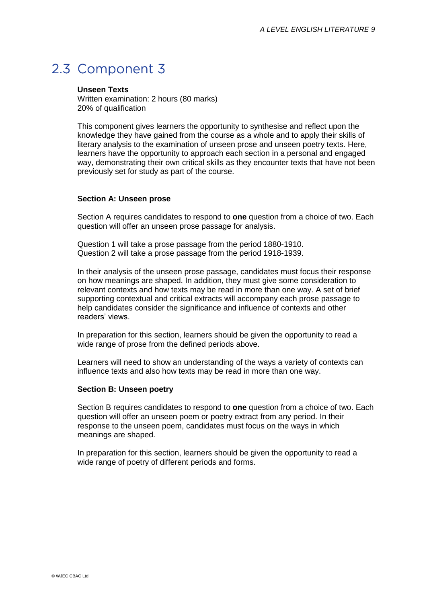## 2.3 Component 3

#### **Unseen Texts**

Written examination: 2 hours (80 marks) 20% of qualification

This component gives learners the opportunity to synthesise and reflect upon the knowledge they have gained from the course as a whole and to apply their skills of literary analysis to the examination of unseen prose and unseen poetry texts. Here, learners have the opportunity to approach each section in a personal and engaged way, demonstrating their own critical skills as they encounter texts that have not been previously set for study as part of the course.

#### **Section A: Unseen prose**

Section A requires candidates to respond to **one** question from a choice of two. Each question will offer an unseen prose passage for analysis.

Question 1 will take a prose passage from the period 1880-1910. Question 2 will take a prose passage from the period 1918-1939.

In their analysis of the unseen prose passage, candidates must focus their response on how meanings are shaped. In addition, they must give some consideration to relevant contexts and how texts may be read in more than one way. A set of brief supporting contextual and critical extracts will accompany each prose passage to help candidates consider the significance and influence of contexts and other readers' views.

In preparation for this section, learners should be given the opportunity to read a wide range of prose from the defined periods above.

Learners will need to show an understanding of the ways a variety of contexts can influence texts and also how texts may be read in more than one way.

#### **Section B: Unseen poetry**

Section B requires candidates to respond to **one** question from a choice of two. Each question will offer an unseen poem or poetry extract from any period. In their response to the unseen poem, candidates must focus on the ways in which meanings are shaped.

In preparation for this section, learners should be given the opportunity to read a wide range of poetry of different periods and forms.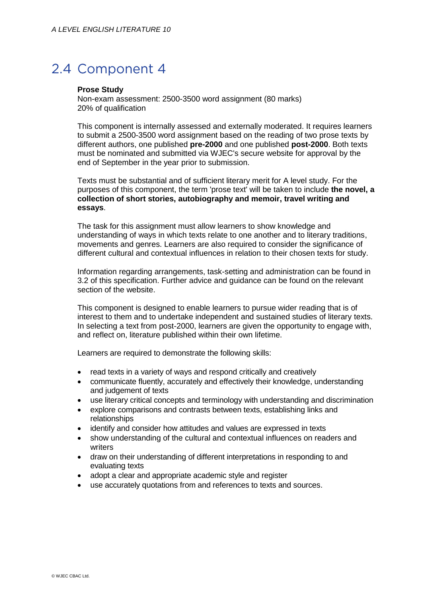## 2.4 Component 4

#### **Prose Study**

Non-exam assessment: 2500-3500 word assignment (80 marks) 20% of qualification

This component is internally assessed and externally moderated. It requires learners to submit a 2500-3500 word assignment based on the reading of two prose texts by different authors, one published **pre-2000** and one published **post-2000**. Both texts must be nominated and submitted via WJEC's secure website for approval by the end of September in the year prior to submission.

Texts must be substantial and of sufficient literary merit for A level study. For the purposes of this component, the term 'prose text' will be taken to include **the novel, a collection of short stories, autobiography and memoir, travel writing and essays**.

The task for this assignment must allow learners to show knowledge and understanding of ways in which texts relate to one another and to literary traditions, movements and genres. Learners are also required to consider the significance of different cultural and contextual influences in relation to their chosen texts for study.

Information regarding arrangements, task-setting and administration can be found in 3.2 of this specification. Further advice and guidance can be found on the relevant section of the website.

This component is designed to enable learners to pursue wider reading that is of interest to them and to undertake independent and sustained studies of literary texts. In selecting a text from post-2000, learners are given the opportunity to engage with, and reflect on, literature published within their own lifetime.

Learners are required to demonstrate the following skills:

- read texts in a variety of ways and respond critically and creatively
- communicate fluently, accurately and effectively their knowledge, understanding and judgement of texts
- use literary critical concepts and terminology with understanding and discrimination
- explore comparisons and contrasts between texts, establishing links and relationships
- identify and consider how attitudes and values are expressed in texts
- show understanding of the cultural and contextual influences on readers and writers
- draw on their understanding of different interpretations in responding to and evaluating texts
- adopt a clear and appropriate academic style and register
- use accurately quotations from and references to texts and sources.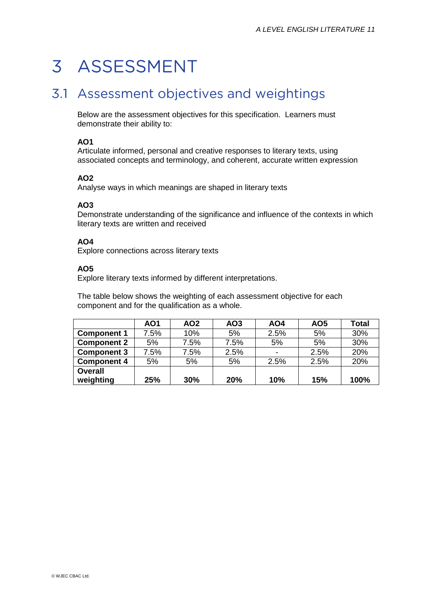## 3 ASSESSMENT

### 3.1 Assessment objectives and weightings

Below are the assessment objectives for this specification. Learners must demonstrate their ability to:

#### **AO1**

Articulate informed, personal and creative responses to literary texts, using associated concepts and terminology, and coherent, accurate written expression

#### **AO2**

Analyse ways in which meanings are shaped in literary texts

#### **AO3**

Demonstrate understanding of the significance and influence of the contexts in which literary texts are written and received

#### **AO4**

Explore connections across literary texts

#### **AO5**

Explore literary texts informed by different interpretations.

The table below shows the weighting of each assessment objective for each component and for the qualification as a whole.

|                             | AO1  | AO2  | AO <sub>3</sub> | AO4  | AO <sub>5</sub> | <b>Total</b> |
|-----------------------------|------|------|-----------------|------|-----------------|--------------|
| <b>Component 1</b>          | 7.5% | 10%  | 5%              | 2.5% | 5%              | 30%          |
| <b>Component 2</b>          | 5%   | 7.5% | 7.5%            | 5%   | 5%              | 30%          |
| <b>Component 3</b>          | 7.5% | 7.5% | 2.5%            |      | 2.5%            | 20%          |
| <b>Component 4</b>          | 5%   | 5%   | 5%              | 2.5% | 2.5%            | 20%          |
| <b>Overall</b><br>weighting | 25%  | 30%  | 20%             | 10%  | 15%             | 100%         |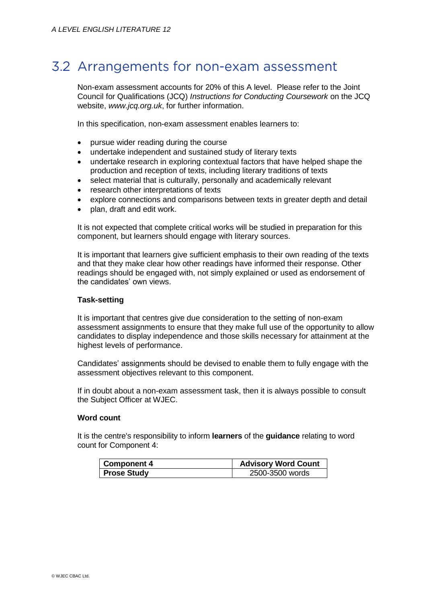### 3.2 Arrangements for non-exam assessment

Non-exam assessment accounts for 20% of this A level. Please refer to the Joint Council for Qualifications (JCQ) *Instructions for Conducting Coursework* on the JCQ website, *www.jcq.org.uk*, for further information.

In this specification, non-exam assessment enables learners to:

- pursue wider reading during the course
- undertake independent and sustained study of literary texts
- undertake research in exploring contextual factors that have helped shape the production and reception of texts, including literary traditions of texts
- select material that is culturally, personally and academically relevant
- research other interpretations of texts
- explore connections and comparisons between texts in greater depth and detail
- plan, draft and edit work.

It is not expected that complete critical works will be studied in preparation for this component, but learners should engage with literary sources.

It is important that learners give sufficient emphasis to their own reading of the texts and that they make clear how other readings have informed their response. Other readings should be engaged with, not simply explained or used as endorsement of the candidates' own views.

#### **Task-setting**

It is important that centres give due consideration to the setting of non-exam assessment assignments to ensure that they make full use of the opportunity to allow candidates to display independence and those skills necessary for attainment at the highest levels of performance.

Candidates' assignments should be devised to enable them to fully engage with the assessment objectives relevant to this component.

If in doubt about a non-exam assessment task, then it is always possible to consult the Subject Officer at WJEC.

#### **Word count**

It is the centre's responsibility to inform **learners** of the **guidance** relating to word count for Component 4:

| Component 4 | <b>Advisory Word Count</b> |
|-------------|----------------------------|
| Prose Study | 2500-3500 words            |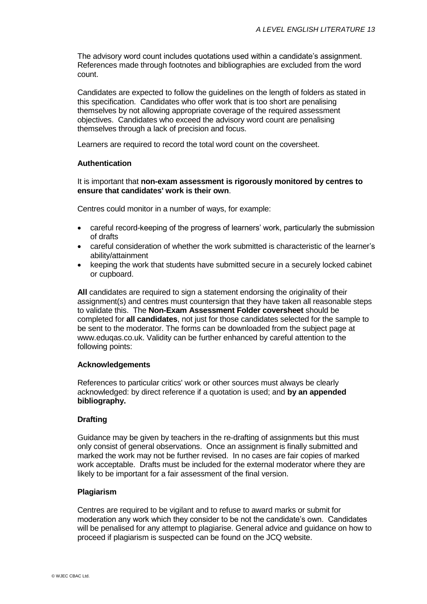The advisory word count includes quotations used within a candidate's assignment. References made through footnotes and bibliographies are excluded from the word count.

Candidates are expected to follow the guidelines on the length of folders as stated in this specification. Candidates who offer work that is too short are penalising themselves by not allowing appropriate coverage of the required assessment objectives. Candidates who exceed the advisory word count are penalising themselves through a lack of precision and focus.

Learners are required to record the total word count on the coversheet.

#### **Authentication**

It is important that **non-exam assessment is rigorously monitored by centres to ensure that candidates' work is their own**.

Centres could monitor in a number of ways, for example:

- careful record-keeping of the progress of learners' work, particularly the submission of drafts
- careful consideration of whether the work submitted is characteristic of the learner's ability/attainment
- keeping the work that students have submitted secure in a securely locked cabinet or cupboard.

**All** candidates are required to sign a statement endorsing the originality of their assignment(s) and centres must countersign that they have taken all reasonable steps to validate this. The **Non-Exam Assessment Folder coversheet** should be completed for **all candidates**, not just for those candidates selected for the sample to be sent to the moderator. The forms can be downloaded from the subject page at www.eduqas.co.uk. Validity can be further enhanced by careful attention to the following points:

#### **Acknowledgements**

References to particular critics' work or other sources must always be clearly acknowledged: by direct reference if a quotation is used; and **by an appended bibliography.**

#### **Drafting**

Guidance may be given by teachers in the re-drafting of assignments but this must only consist of general observations. Once an assignment is finally submitted and marked the work may not be further revised. In no cases are fair copies of marked work acceptable. Drafts must be included for the external moderator where they are likely to be important for a fair assessment of the final version.

#### **Plagiarism**

Centres are required to be vigilant and to refuse to award marks or submit for moderation any work which they consider to be not the candidate's own. Candidates will be penalised for any attempt to plagiarise. General advice and guidance on how to proceed if plagiarism is suspected can be found on the JCQ website.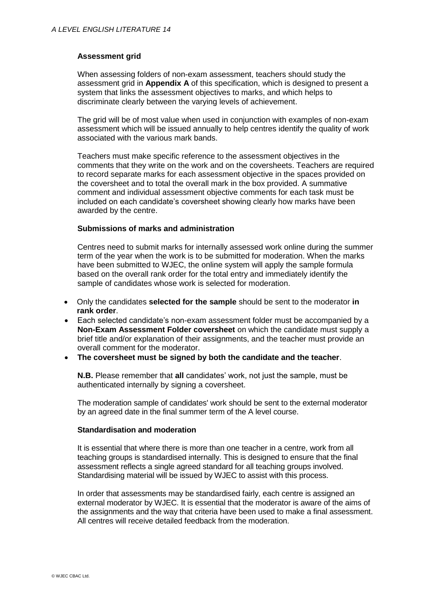#### **Assessment grid**

When assessing folders of non-exam assessment, teachers should study the assessment grid in **Appendix A** of this specification, which is designed to present a system that links the assessment objectives to marks, and which helps to discriminate clearly between the varying levels of achievement.

The grid will be of most value when used in conjunction with examples of non-exam assessment which will be issued annually to help centres identify the quality of work associated with the various mark bands.

Teachers must make specific reference to the assessment objectives in the comments that they write on the work and on the coversheets. Teachers are required to record separate marks for each assessment objective in the spaces provided on the coversheet and to total the overall mark in the box provided. A summative comment and individual assessment objective comments for each task must be included on each candidate's coversheet showing clearly how marks have been awarded by the centre.

#### **Submissions of marks and administration**

Centres need to submit marks for internally assessed work online during the summer term of the year when the work is to be submitted for moderation. When the marks have been submitted to WJEC, the online system will apply the sample formula based on the overall rank order for the total entry and immediately identify the sample of candidates whose work is selected for moderation.

- Only the candidates **selected for the sample** should be sent to the moderator **in rank order**.
- Each selected candidate's non-exam assessment folder must be accompanied by a **Non-Exam Assessment Folder coversheet** on which the candidate must supply a brief title and/or explanation of their assignments, and the teacher must provide an overall comment for the moderator.
- **The coversheet must be signed by both the candidate and the teacher**.

**N.B.** Please remember that **all** candidates' work, not just the sample, must be authenticated internally by signing a coversheet.

The moderation sample of candidates' work should be sent to the external moderator by an agreed date in the final summer term of the A level course.

#### **Standardisation and moderation**

It is essential that where there is more than one teacher in a centre, work from all teaching groups is standardised internally. This is designed to ensure that the final assessment reflects a single agreed standard for all teaching groups involved. Standardising material will be issued by WJEC to assist with this process.

In order that assessments may be standardised fairly, each centre is assigned an external moderator by WJEC. It is essential that the moderator is aware of the aims of the assignments and the way that criteria have been used to make a final assessment. All centres will receive detailed feedback from the moderation.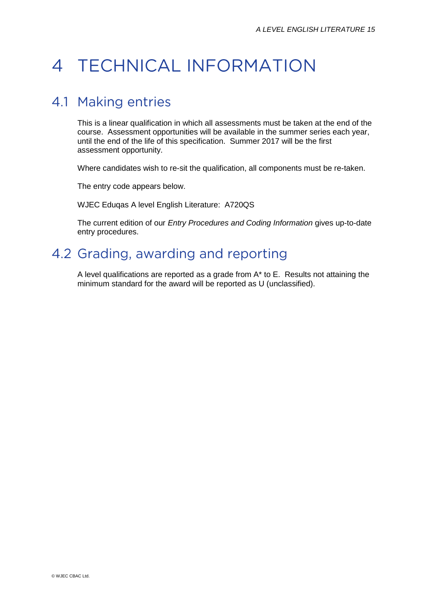## 4 TECHNICAL INFORMATION

### 4.1 Making entries

This is a linear qualification in which all assessments must be taken at the end of the course. Assessment opportunities will be available in the summer series each year, until the end of the life of this specification. Summer 2017 will be the first assessment opportunity.

Where candidates wish to re-sit the qualification, all components must be re-taken.

The entry code appears below.

WJEC Eduqas A level English Literature: A720QS

The current edition of our *Entry Procedures and Coding Information* gives up-to-date entry procedures.

## 4.2 Grading, awarding and reporting

A level qualifications are reported as a grade from A\* to E. Results not attaining the minimum standard for the award will be reported as U (unclassified).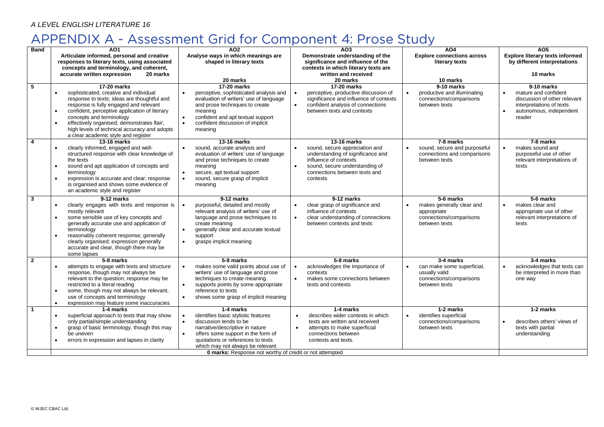#### *A LEVEL ENGLISH LITERATURE 16*

## APPENDIX A - Assessment Grid for Component 4: Prose Study

| <b>Band</b>    | A01                                                                                           | A02                                                                     | A03                                                                         | AO <sub>4</sub>                                             | A05                                              |  |  |
|----------------|-----------------------------------------------------------------------------------------------|-------------------------------------------------------------------------|-----------------------------------------------------------------------------|-------------------------------------------------------------|--------------------------------------------------|--|--|
|                | Articulate informed, personal and creative                                                    | Analyse ways in which meanings are                                      | Demonstrate understanding of the                                            | <b>Explore connections across</b>                           | <b>Explore literary texts informed</b>           |  |  |
|                | responses to literary texts, using associated                                                 | shaped in literary texts                                                | significance and influence of the                                           | literary texts                                              | by different interpretations                     |  |  |
|                | concepts and terminology, and coherent,                                                       |                                                                         | contexts in which literary texts are                                        |                                                             |                                                  |  |  |
|                | accurate written expression<br>20 marks                                                       | 20 marks                                                                | written and received<br>20 marks                                            | 10 marks                                                    | 10 marks                                         |  |  |
| 5              | 17-20 marks                                                                                   | 17-20 marks                                                             | 17-20 marks                                                                 | 9-10 marks                                                  | 9-10 marks                                       |  |  |
|                | sophisticated, creative and individual<br>$\bullet$                                           | perceptive, sophisticated analysis and                                  | perceptive, productive discussion of                                        | productive and illuminating                                 | mature and confident                             |  |  |
|                | response to texts; ideas are thoughtful and                                                   | evaluation of writers' use of language                                  | significance and influence of contexts                                      | connections/comparisons                                     | discussion of other relevant                     |  |  |
|                | response is fully engaged and relevant                                                        | and prose techniques to create                                          | confident analysis of connections                                           | between texts                                               | interpretations of texts                         |  |  |
|                | confident, perceptive application of literary<br>$\bullet$<br>concepts and terminology        | meaning<br>confident and apt textual support<br>$\bullet$               | between texts and contexts                                                  |                                                             | autonomous, independent<br>reader                |  |  |
|                | effectively organised; demonstrates flair;<br>$\bullet$                                       | $\bullet$<br>confident discussion of implicit                           |                                                                             |                                                             |                                                  |  |  |
|                | high levels of technical accuracy and adopts                                                  | meaning                                                                 |                                                                             |                                                             |                                                  |  |  |
|                | a clear academic style and register                                                           |                                                                         |                                                                             |                                                             |                                                  |  |  |
| $\overline{4}$ | 13-16 marks                                                                                   | 13-16 marks                                                             | 13-16 marks                                                                 | 7-8 marks                                                   | 7-8 marks                                        |  |  |
|                | clearly informed, engaged and well-<br>structured response with clear knowledge of            | sound, accurate analysis and<br>evaluation of writers' use of language  | sound, secure appreciation and<br>understanding of significance and         | sound, secure and purposeful<br>connections and comparisons | makes sound and<br>purposeful use of other       |  |  |
|                | the texts                                                                                     | and prose techniques to create                                          | influence of contexts                                                       | between texts                                               | relevant interpretations of                      |  |  |
|                | sound and apt application of concepts and<br>$\bullet$                                        | meaning                                                                 | sound, secure understanding of                                              |                                                             | texts                                            |  |  |
|                | terminology                                                                                   | secure, apt textual support                                             | connections between texts and                                               |                                                             |                                                  |  |  |
|                | expression is accurate and clear; response                                                    | sound, secure grasp of implicit                                         | contexts                                                                    |                                                             |                                                  |  |  |
|                | is organised and shows some evidence of<br>an academic style and register                     | meaning                                                                 |                                                                             |                                                             |                                                  |  |  |
| $\mathbf{3}$   | 9-12 marks                                                                                    | 9-12 marks                                                              | $9-12$ marks                                                                | 5-6 marks                                                   | 5-6 marks                                        |  |  |
|                | clearly engages with texts and response is<br>$\bullet$                                       | purposeful, detailed and mostly                                         | clear grasp of significance and<br>$\bullet$                                | makes generally clear and<br>$\bullet$                      | makes clear and                                  |  |  |
|                | mostly relevant                                                                               | relevant analysis of writers' use of                                    | influence of contexts                                                       | appropriate                                                 | appropriate use of other                         |  |  |
|                | some sensible use of key concepts and                                                         | language and prose techniques to                                        | clear understanding of connections<br>$\bullet$                             | connections/comparisons                                     | relevant interpretations of                      |  |  |
|                | generally accurate use and application of<br>terminology                                      | create meaning<br>generally clear and accurate textual                  | between contexts and texts                                                  | between texts                                               | texts                                            |  |  |
|                | reasonably coherent response; generally                                                       | support                                                                 |                                                                             |                                                             |                                                  |  |  |
|                | clearly organised; expression generally                                                       | grasps implicit meaning<br>$\bullet$                                    |                                                                             |                                                             |                                                  |  |  |
|                | accurate and clear, though there may be                                                       |                                                                         |                                                                             |                                                             |                                                  |  |  |
| $\overline{2}$ | some lapses<br>5-8 marks                                                                      | 5-8 marks                                                               | 5-8 marks                                                                   | 3-4 marks                                                   | 3-4 marks                                        |  |  |
|                | attempts to engage with texts and structure                                                   | makes some valid points about use of                                    | acknowledges the importance of                                              | can make some superficial,                                  | acknowledges that texts can                      |  |  |
|                | response, though may not always be                                                            | writers' use of language and prose                                      | contexts                                                                    | usually valid                                               | be interpreted in more than                      |  |  |
|                | relevant to the question; response may be                                                     | techniques to create meaning                                            | makes some connections between<br>$\bullet$                                 | connections/comparisons                                     | one way                                          |  |  |
|                | restricted to a literal reading                                                               | supports points by some appropriate                                     | texts and contexts                                                          | between texts                                               |                                                  |  |  |
|                | some, though may not always be relevant,<br>$\bullet$<br>use of concepts and terminology      | reference to texts<br>shows some grasp of implicit meaning<br>$\bullet$ |                                                                             |                                                             |                                                  |  |  |
|                | expression may feature some inaccuracies<br>$\bullet$                                         |                                                                         |                                                                             |                                                             |                                                  |  |  |
| $\overline{1}$ | 1-4 marks                                                                                     | 1-4 marks                                                               | 1-4 marks                                                                   | 1-2 marks                                                   | 1-2 marks                                        |  |  |
|                | superficial approach to texts that may show<br>$\bullet$                                      | identifies basic stylistic features                                     | describes wider contexts in which<br>$\bullet$                              | identifies superficial<br>$\bullet$                         |                                                  |  |  |
|                | only partial/simple understanding<br>grasp of basic terminology, though this may<br>$\bullet$ | $\bullet$<br>discussion tends to be<br>narrative/descriptive in nature  | texts are written and received<br>attempts to make superficial<br>$\bullet$ | connections/comparisons<br>between texts                    | describes others' views of<br>texts with partial |  |  |
|                | be uneven                                                                                     | offers some support in the form of<br>$\bullet$                         | connections between                                                         |                                                             | understanding                                    |  |  |
|                | errors in expression and lapses in clarity                                                    | quotations or references to texts                                       | contexts and texts.                                                         |                                                             |                                                  |  |  |
|                |                                                                                               | which may not always be relevant                                        |                                                                             |                                                             |                                                  |  |  |
|                | <b>0 marks:</b> Response not worthy of credit or not attempted                                |                                                                         |                                                                             |                                                             |                                                  |  |  |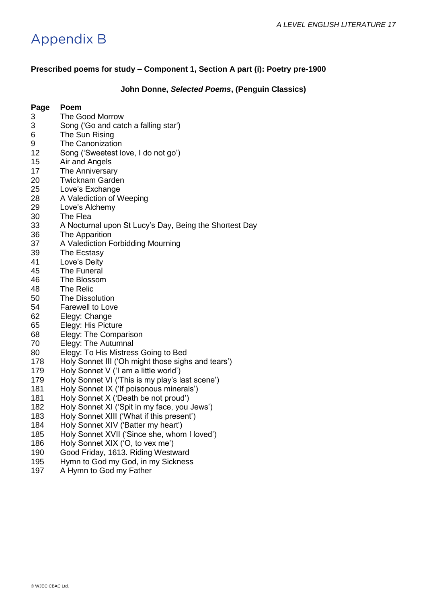## **Appendix B**

#### **Prescribed poems for study – Component 1, Section A part (i): Poetry pre-1900**

#### **John Donne,** *Selected Poems***, (Penguin Classics)**

- The Good Morrow
- Song ('Go and catch a falling star')
- The Sun Rising
- 9 The Canonization
- Song ('Sweetest love, I do not go')
- Air and Angels
- The Anniversary
- Twicknam Garden
- 25 Love's Exchange
- A Valediction of Weeping
- Love's Alchemy
- The Flea
- A Nocturnal upon St Lucy's Day, Being the Shortest Day
- The Apparition
- A Valediction Forbidding Mourning
- The Ecstasy
- Love's Deity
- The Funeral
- The Blossom
- The Relic
- The Dissolution
- Farewell to Love
- Elegy: Change
- Elegy: His Picture
- Elegy: The Comparison
- Elegy: The Autumnal
- Elegy: To His Mistress Going to Bed
- Holy Sonnet III ('Oh might those sighs and tears')
- Holy Sonnet V ('I am a little world')
- Holy Sonnet VI ('This is my play's last scene')
- Holy Sonnet IX ('If poisonous minerals')
- 181 Holy Sonnet X ('Death be not proud')
- Holy Sonnet XI ('Spit in my face, you Jews')
- Holy Sonnet XIII ('What if this present')
- Holy Sonnet XIV ('Batter my heart')
- Holy Sonnet XVII ('Since she, whom I loved')
- Holy Sonnet XIX ('O, to vex me')
- Good Friday, 1613. Riding Westward
- Hymn to God my God, in my Sickness
- 197 A Hymn to God my Father